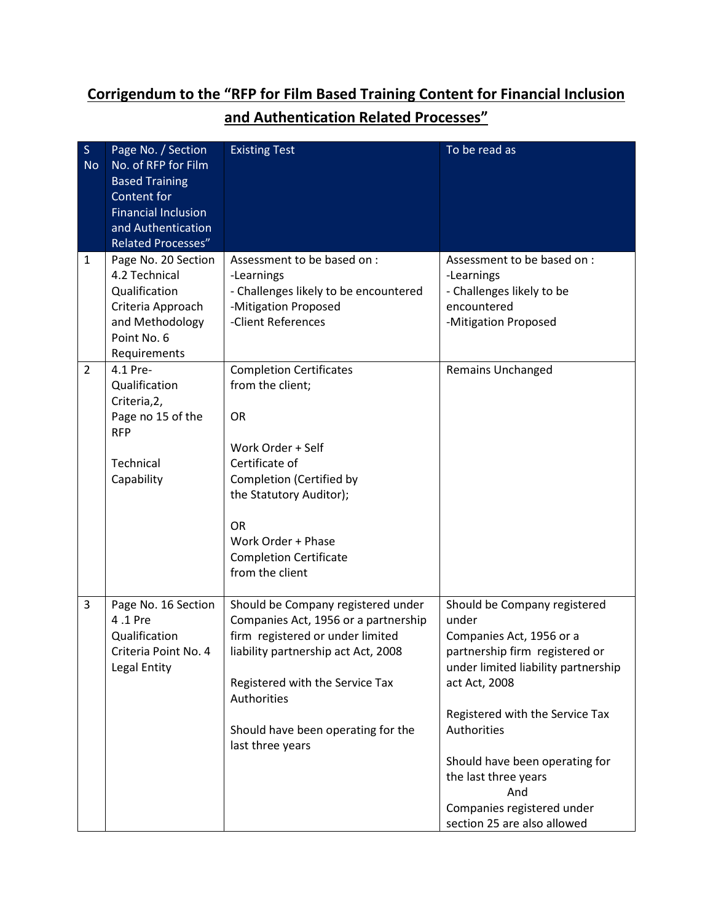## Corrigendum to the "RFP for Film Based Training Content for Financial Inclusion and Authentication Related Processes"

| $\mathsf{S}$   | Page No. / Section         | <b>Existing Test</b>                  | To be read as                       |  |
|----------------|----------------------------|---------------------------------------|-------------------------------------|--|
| <b>No</b>      | No. of RFP for Film        |                                       |                                     |  |
|                | <b>Based Training</b>      |                                       |                                     |  |
|                | Content for                |                                       |                                     |  |
|                | <b>Financial Inclusion</b> |                                       |                                     |  |
|                | and Authentication         |                                       |                                     |  |
|                | <b>Related Processes"</b>  |                                       |                                     |  |
| $\mathbf{1}$   | Page No. 20 Section        | Assessment to be based on :           | Assessment to be based on :         |  |
|                | 4.2 Technical              | -Learnings                            | -Learnings                          |  |
|                | Qualification              | - Challenges likely to be encountered | - Challenges likely to be           |  |
|                | Criteria Approach          | -Mitigation Proposed                  | encountered                         |  |
|                | and Methodology            | -Client References                    | -Mitigation Proposed                |  |
|                | Point No. 6                |                                       |                                     |  |
|                | Requirements               |                                       |                                     |  |
| $\overline{2}$ | 4.1 Pre-                   | <b>Completion Certificates</b>        | <b>Remains Unchanged</b>            |  |
|                | Qualification              | from the client;                      |                                     |  |
|                | Criteria, 2,               |                                       |                                     |  |
|                | Page no 15 of the          | <b>OR</b>                             |                                     |  |
|                | <b>RFP</b>                 |                                       |                                     |  |
|                |                            | Work Order + Self                     |                                     |  |
|                | Technical                  | Certificate of                        |                                     |  |
|                | Capability                 | Completion (Certified by              |                                     |  |
|                |                            | the Statutory Auditor);               |                                     |  |
|                |                            | OR                                    |                                     |  |
|                |                            | Work Order + Phase                    |                                     |  |
|                |                            | <b>Completion Certificate</b>         |                                     |  |
|                |                            | from the client                       |                                     |  |
|                |                            |                                       |                                     |  |
| 3              | Page No. 16 Section        | Should be Company registered under    | Should be Company registered        |  |
|                | 4.1 Pre                    | Companies Act, 1956 or a partnership  | under                               |  |
|                | Qualification              | firm registered or under limited      | Companies Act, 1956 or a            |  |
|                | Criteria Point No. 4       | liability partnership act Act, 2008   | partnership firm registered or      |  |
|                | Legal Entity               |                                       | under limited liability partnership |  |
|                |                            | Registered with the Service Tax       | act Act, 2008                       |  |
|                |                            | Authorities                           |                                     |  |
|                |                            |                                       | Registered with the Service Tax     |  |
|                |                            | Should have been operating for the    | Authorities                         |  |
|                |                            | last three years                      |                                     |  |
|                |                            |                                       | Should have been operating for      |  |
|                |                            |                                       | the last three years                |  |
|                |                            |                                       | And                                 |  |
|                |                            |                                       | Companies registered under          |  |
|                |                            |                                       | section 25 are also allowed         |  |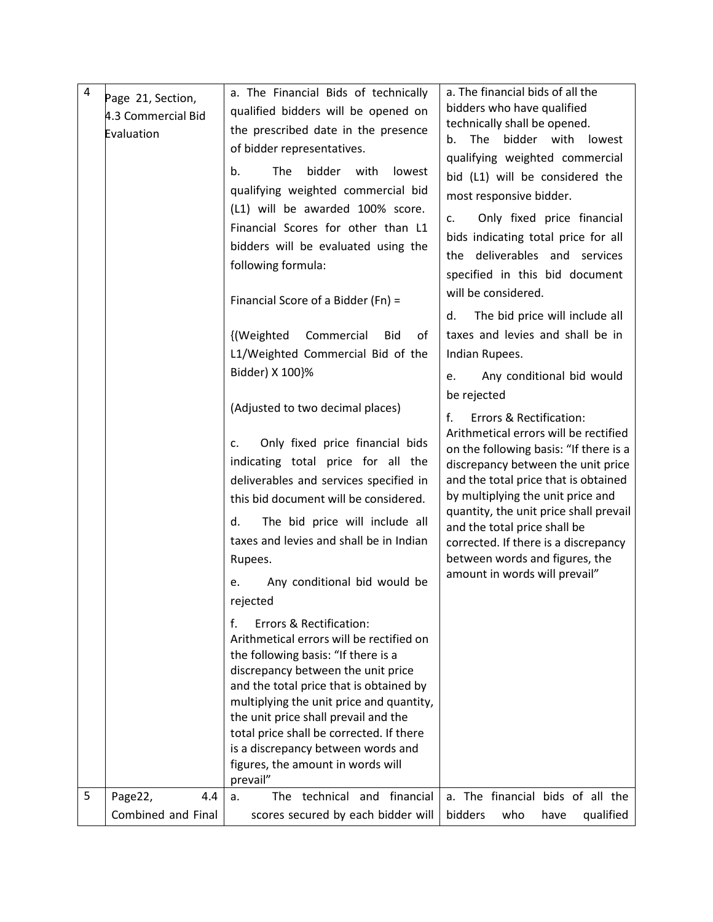| $\overline{4}$ | Page 21, Section,<br>4.3 Commercial Bid<br>Evaluation | a. The Financial Bids of technically<br>qualified bidders will be opened on<br>the prescribed date in the presence<br>of bidder representatives.<br>bidder with<br>b.<br>The<br>lowest<br>qualifying weighted commercial bid<br>(L1) will be awarded 100% score.<br>Financial Scores for other than L1<br>bidders will be evaluated using the<br>following formula:<br>Financial Score of a Bidder (Fn) =<br>{(Weighted<br>Commercial<br><b>Bid</b><br>οf<br>L1/Weighted Commercial Bid of the<br>Bidder) X 100}%<br>(Adjusted to two decimal places)<br>Only fixed price financial bids<br>c.<br>indicating total price for all the<br>deliverables and services specified in<br>this bid document will be considered.<br>d.<br>The bid price will include all<br>taxes and levies and shall be in Indian<br>Rupees.<br>Any conditional bid would be<br>e.<br>rejected<br>f.<br>Errors & Rectification:<br>Arithmetical errors will be rectified on<br>the following basis: "If there is a<br>discrepancy between the unit price<br>and the total price that is obtained by<br>multiplying the unit price and quantity,<br>the unit price shall prevail and the<br>total price shall be corrected. If there | a. The financial bids of all the<br>bidders who have qualified<br>technically shall be opened.<br>The<br>bidder with<br>lowest<br>b.<br>qualifying weighted commercial<br>bid (L1) will be considered the<br>most responsive bidder.<br>Only fixed price financial<br>c.<br>bids indicating total price for all<br>the deliverables and services<br>specified in this bid document<br>will be considered.<br>The bid price will include all<br>d.<br>taxes and levies and shall be in<br>Indian Rupees.<br>Any conditional bid would<br>e.<br>be rejected<br>f.<br>Errors & Rectification:<br>Arithmetical errors will be rectified<br>on the following basis: "If there is a<br>discrepancy between the unit price<br>and the total price that is obtained<br>by multiplying the unit price and<br>quantity, the unit price shall prevail<br>and the total price shall be<br>corrected. If there is a discrepancy<br>between words and figures, the<br>amount in words will prevail" |
|----------------|-------------------------------------------------------|--------------------------------------------------------------------------------------------------------------------------------------------------------------------------------------------------------------------------------------------------------------------------------------------------------------------------------------------------------------------------------------------------------------------------------------------------------------------------------------------------------------------------------------------------------------------------------------------------------------------------------------------------------------------------------------------------------------------------------------------------------------------------------------------------------------------------------------------------------------------------------------------------------------------------------------------------------------------------------------------------------------------------------------------------------------------------------------------------------------------------------------------------------------------------------------------------------------|---------------------------------------------------------------------------------------------------------------------------------------------------------------------------------------------------------------------------------------------------------------------------------------------------------------------------------------------------------------------------------------------------------------------------------------------------------------------------------------------------------------------------------------------------------------------------------------------------------------------------------------------------------------------------------------------------------------------------------------------------------------------------------------------------------------------------------------------------------------------------------------------------------------------------------------------------------------------------------------|
| 5              | Page22,<br>4.4                                        | is a discrepancy between words and<br>figures, the amount in words will<br>prevail"<br>technical and financial<br>The<br>a.                                                                                                                                                                                                                                                                                                                                                                                                                                                                                                                                                                                                                                                                                                                                                                                                                                                                                                                                                                                                                                                                                  | a. The financial bids of all the                                                                                                                                                                                                                                                                                                                                                                                                                                                                                                                                                                                                                                                                                                                                                                                                                                                                                                                                                      |
|                | Combined and Final                                    | scores secured by each bidder will                                                                                                                                                                                                                                                                                                                                                                                                                                                                                                                                                                                                                                                                                                                                                                                                                                                                                                                                                                                                                                                                                                                                                                           | bidders<br>who<br>have<br>qualified                                                                                                                                                                                                                                                                                                                                                                                                                                                                                                                                                                                                                                                                                                                                                                                                                                                                                                                                                   |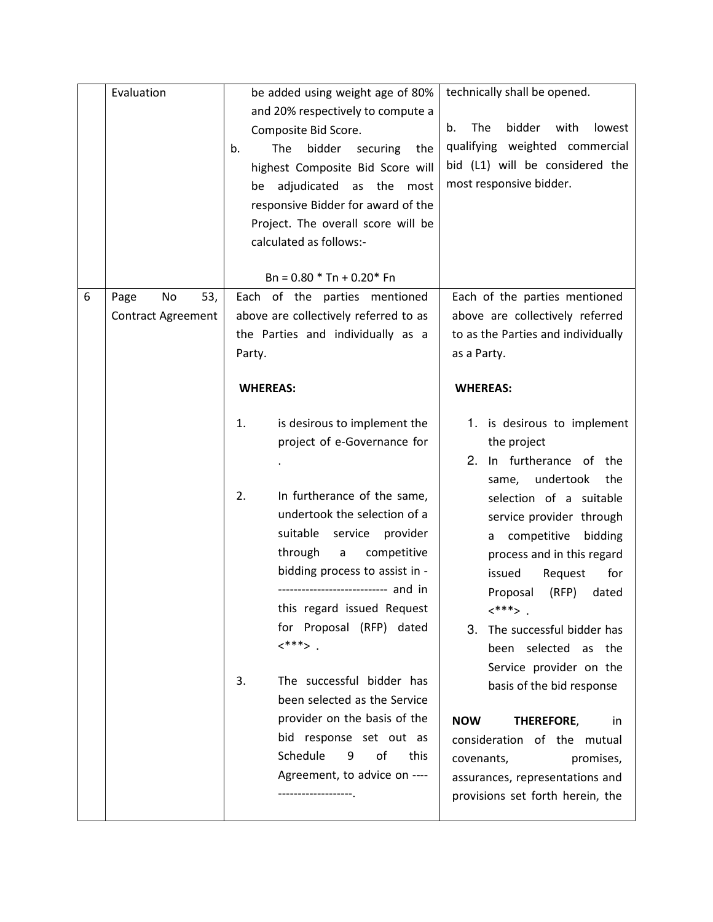|   | Evaluation                                     | be added using weight age of 80%<br>and 20% respectively to compute a<br>Composite Bid Score.<br>bidder<br>The<br>securing<br>b.<br>the<br>highest Composite Bid Score will<br>adjudicated as the most<br>be                                                                                                                                                                                                                                                        | technically shall be opened.<br>The<br>bidder<br>with<br>lowest<br>b.<br>qualifying weighted commercial<br>bid (L1) will be considered the<br>most responsive bidder.                                                                                                                                                                                                                                                                                                                                  |  |
|---|------------------------------------------------|---------------------------------------------------------------------------------------------------------------------------------------------------------------------------------------------------------------------------------------------------------------------------------------------------------------------------------------------------------------------------------------------------------------------------------------------------------------------|--------------------------------------------------------------------------------------------------------------------------------------------------------------------------------------------------------------------------------------------------------------------------------------------------------------------------------------------------------------------------------------------------------------------------------------------------------------------------------------------------------|--|
|   |                                                | responsive Bidder for award of the<br>Project. The overall score will be<br>calculated as follows:-<br>$Bn = 0.80 * Tn + 0.20 * Fn$                                                                                                                                                                                                                                                                                                                                 |                                                                                                                                                                                                                                                                                                                                                                                                                                                                                                        |  |
| 6 | 53,<br>Page<br>No<br><b>Contract Agreement</b> | Each of the parties mentioned<br>above are collectively referred to as<br>the Parties and individually as a<br>Party.                                                                                                                                                                                                                                                                                                                                               | Each of the parties mentioned<br>above are collectively referred<br>to as the Parties and individually<br>as a Party.                                                                                                                                                                                                                                                                                                                                                                                  |  |
|   |                                                | <b>WHEREAS:</b><br>is desirous to implement the<br>1.<br>project of e-Governance for<br>In furtherance of the same,<br>2.<br>undertook the selection of a<br>suitable<br>service provider<br>through<br>competitive<br>a<br>bidding process to assist in -<br>this regard issued Request<br>for Proposal (RFP) dated<br>$\left\langle \cdot \right\rangle^{***}$<br>The successful bidder has<br>3.<br>been selected as the Service<br>provider on the basis of the | <b>WHEREAS:</b><br>1. is desirous to implement<br>the project<br>2. In furtherance of the<br>undertook<br>the<br>same,<br>selection of a suitable<br>service provider through<br>competitive<br>bidding<br>a<br>process and in this regard<br>for<br>Request<br>issued<br>(RFP)<br>Proposal<br>dated<br>$\left\langle \cdot \right\rangle^{***}$<br>3. The successful bidder has<br>been selected as<br>the<br>Service provider on the<br>basis of the bid response<br><b>NOW</b><br>THEREFORE,<br>in. |  |
|   |                                                | bid response set out as<br>Schedule<br>9<br>οf<br>this<br>Agreement, to advice on ----<br>------------------                                                                                                                                                                                                                                                                                                                                                        | consideration of the mutual<br>covenants,<br>promises,<br>assurances, representations and<br>provisions set forth herein, the                                                                                                                                                                                                                                                                                                                                                                          |  |